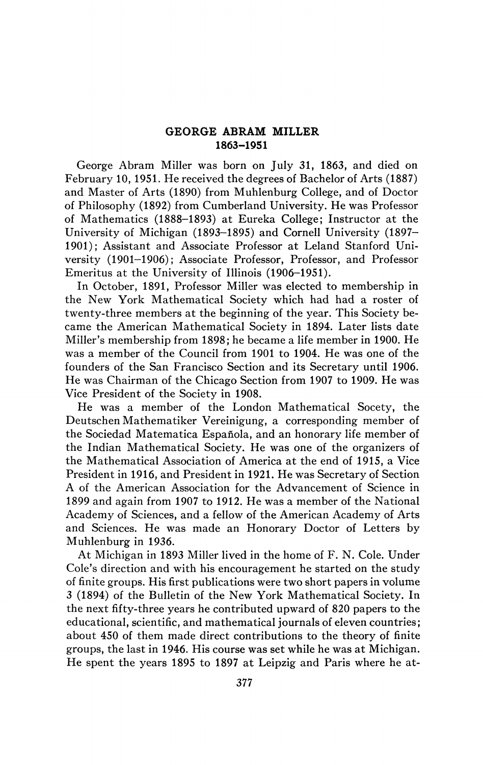## **GEORGE ABRAM MILLER 1863-1951**

George Abram Miller was born on July 31, 1863, and died on February 10, 1951. He received the degrees of Bachelor of Arts (1887) and Master of Arts (1890) from Muhlenburg College, and of Doctor of Philosophy (1892) from Cumberland University. He was Professor of Mathematics (1888-1893) at Eureka College; Instructor at the University of Michigan (1893-1895) and Cornell University (1897- 1901); Assistant and Associate Professor at Leland Stanford University (1901-1906); Associate Professor, Professor, and Professor Emeritus at the University of Illinois (1906-1951).

In October, 1891, Professor Miller was elected to membership in the New York Mathematical Society which had had a roster of twenty-three members at the beginning of the year. This Society became the American Mathematical Society in 1894. Later lists date Miller's membership from 1898; he became a life member in 1900. He was a member of the Council from 1901 to 1904. He was one of the founders of the San Francisco Section and its Secretary until 1906. He was Chairman of the Chicago Section from 1907 to 1909. He was Vice President of the Society in 1908.

He was a member of the London Mathematical Socety, the Deutschen Mathematiker Vereinigung, a corresponding member of the Sociedad Matematica Española, and an honorary life member of the Indian Mathematical Society. He was one of the organizers of the Mathematical Association of America at the end of 1915, a Vice President in 1916, and President in 1921. He was Secretary of Section A of the American Association for the Advancement of Science in 1899 and again from 1907 to 1912. He was a member of the National Academy of Sciences, and a fellow of the American Academy of Arts and Sciences. He was made an Honorary Doctor of Letters by Muhlenburg in 1936.

At Michigan in 1893 Miller lived in the home of F. N. Cole. Under Cole's direction and with his encouragement he started on the study of finite groups. His first publications were two short papers in volume 3 (1894) of the Bulletin of the New York Mathematical Society. In the next fifty-three years he contributed upward of 820 papers to the educational, scientific, and mathematical journals of eleven countries; about 450 of them made direct contributions to the theory of finite groups, the last in 1946. His course was set while he was at Michigan. He spent the years 1895 to 1897 at Leipzig and Paris where he at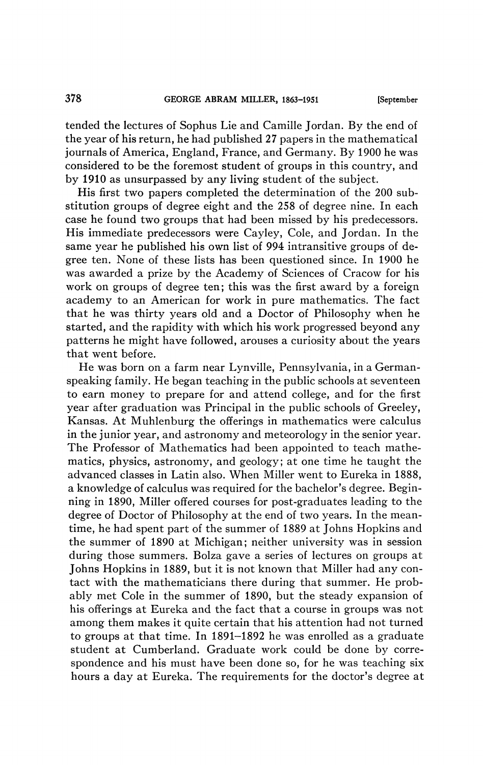tended the lectures of Sophus Lie and Camille Jordan. By the end of the year of his return, he had published 27 papers in the mathematical journals of America, England, France, and Germany. By 1900 he was considered to be the foremost student of groups in this country, and by 1910 as unsurpassed by any living student of the subject.

His first two papers completed the determination of the 200 substitution groups of degree eight and the 258 of degree nine. In each case he found two groups that had been missed by his predecessors. His immediate predecessors were Cayley, Cole, and Jordan. In the same year he published his own list of 994 intransitive groups of degree ten. None of these lists has been questioned since. In 1900 he was awarded a prize by the Academy of Sciences of Cracow for his work on groups of degree ten; this was the first award by a foreign academy to an American for work in pure mathematics. The fact that he was thirty years old and a Doctor of Philosophy when he started, and the rapidity with which his work progressed beyond any patterns he might have followed, arouses a curiosity about the years that went before.

He was born on a farm near Lynville, Pennsylvania, in a Germanspeaking family. He began teaching in the public schools at seventeen to earn money to prepare for and attend college, and for the first year after graduation was Principal in the public schools of Greeley, Kansas. At Muhlenburg the offerings in mathematics were calculus in the junior year, and astronomy and meteorology in the senior year. The Professor of Mathematics had been appointed to teach mathematics, physics, astronomy, and geology; at one time he taught the advanced classes in Latin also. When Miller went to Eureka in 1888, a knowledge of calculus was required for the bachelor's degree. Beginning in 1890, Miller offered courses for post-graduates leading to the degree of Doctor of Philosophy at the end of two years. In the meantime, he had spent part of the summer of 1889 at Johns Hopkins and the summer of 1890 at Michigan; neither university was in session during those summers. Bolza gave a series of lectures on groups at Johns Hopkins in 1889, but it is not known that Miller had any contact with the mathematicians there during that summer. He probably met Cole in the summer of 1890, but the steady expansion of his offerings at Eureka and the fact that a course in groups was not among them makes it quite certain that his attention had not turned to groups at that time. In 1891-1892 he was enrolled as a graduate student at Cumberland. Graduate work could be done by correspondence and his must have been done so, for he was teaching six hours a day at Eureka. The requirements for the doctor's degree at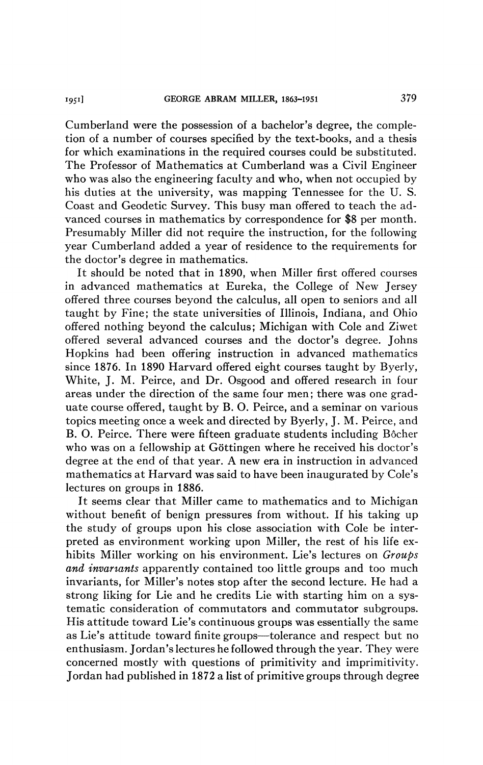Cumberland were the possession of a bachelor's degree, the completion of a number of courses specified by the text-books, and a thesis for which examinations in the required courses could be substituted. The Professor of Mathematics at Cumberland was a Civil Engineer who was also the engineering faculty and who, when not occupied by his duties at the university, was mapping Tennessee for the U. S. Coast and Geodetic Survey. This busy man offered to teach the advanced courses in mathematics by correspondence for \$8 per month. Presumably Miller did not require the instruction, for the following year Cumberland added a year of residence to the requirements for the doctor's degree in mathematics.

It should be noted that in 1890, when Miller first offered courses in advanced mathematics at Eureka, the College of New Jersey offered three courses beyond the calculus, all open to seniors and all taught by Fine; the state universities of Illinois, Indiana, and Ohio offered nothing beyond the calculus; Michigan with Cole and Ziwet offered several advanced courses and the doctor's degree. Johns Hopkins had been offering instruction in advanced mathematics since 1876. In 1890 Harvard offered eight courses taught by Byerly, White, J. M. Peirce, and Dr. Osgood and offered research in four areas under the direction of the same four men; there was one graduate course offered, taught by B. O. Peirce, and a seminar on various topics meeting once a week and directed by Byerly, J. M. Peirce, and B. O. Peirce. There were fifteen graduate students including Bôcher who was on a fellowship at Göttingen where he received his doctor's degree at the end of that year. A new era in instruction in advanced mathematics at Harvard was said to have been inaugurated by Cole's lectures on groups in 1886.

It seems clear that Miller came to mathematics and to Michigan without benefit of benign pressures from without. If his taking up the study of groups upon his close association with Cole be interpreted as environment working upon Miller, the rest of his life exhibits Miller working on his environment. Lie's lectures on *Groups and invariants* apparently contained too little groups and too much invariants, for Miller's notes stop after the second lecture. He had a strong liking for Lie and he credits Lie with starting him on a systematic consideration of commutators and commutator subgroups. His attitude toward Lie's continuous groups was essentially the same as Lie's attitude toward finite groups—tolerance and respect but no enthusiasm. Jordan's lectures he followed through the year. They were concerned mostly with questions of primitivity and imprimitivity. Jordan had published in 1872 a list of primitive groups through degree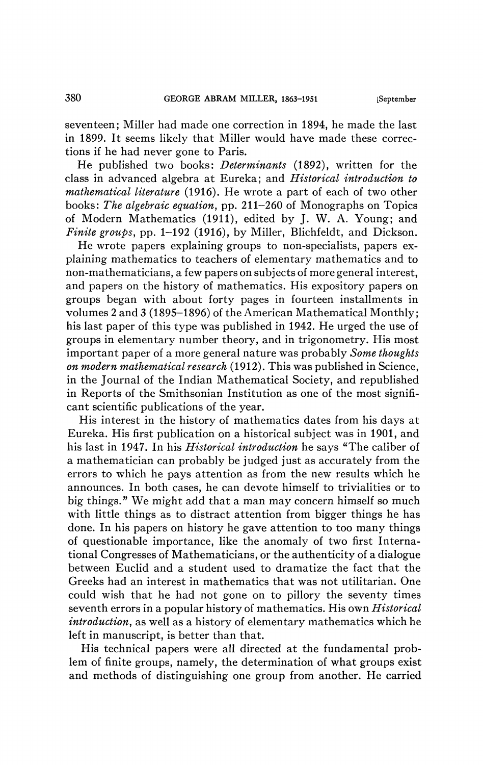seventeen; Miller had made one correction in 1894, he made the last in 1899. It seems likely that Miller would have made these corrections if he had never gone to Paris.

He published two books: *Determinants* (1892), written for the class in advanced algebra at Eureka; and *Historical introduction to mathematical literature* (1916). He wrote a part of each of two other books: *The algebraic equation,* pp. 211-260 of Monographs on Topics of Modern Mathematics (1911), edited by J. W. A. Young; and *Finite groups,* pp. 1-192 (1916), by Miller, Blichfeldt, and Dickson.

He wrote papers explaining groups to non-specialists, papers explaining mathematics to teachers of elementary mathematics and to non-mathematicians, a few papers on subjects of more general interest, and papers on the history of mathematics. His expository papers on groups began with about forty pages in fourteen installments in volumes 2 and 3 (1895-1896) of the American Mathematical Monthly; his last paper of this type was published in 1942. He urged the use of groups in elementary number theory, and in trigonometry. His most important paper of a more general nature was probably *Some thoughts on modern mathematical research* (1912). This was published in Science, in the Journal of the Indian Mathematical Society, and republished in Reports of the Smithsonian Institution as one of the most significant scientific publications of the year.

His interest in the history of mathematics dates from his days at Eureka. His first publication on a historical subject was in 1901, and his last in 1947. In his *Historical introduction* he says "The caliber of a mathematician can probably be judged just as accurately from the errors to which he pays attention as from the new results which he announces. In both cases, he can devote himself to trivialities or to big things." We might add that a man may concern himself so much with little things as to distract attention from bigger things he has done. In his papers on history he gave attention to too many things of questionable importance, like the anomaly of two first International Congresses of Mathematicians, or the authenticity of a dialogue between Euclid and a student used to dramatize the fact that the Greeks had an interest in mathematics that was not utilitarian. One could wish that he had not gone on to pillory the seventy times seventh errors in a popular history of mathematics. His own *Historical introduction,* as well as a history of elementary mathematics which he left in manuscript, is better than that.

His technical papers were all directed at the fundamental problem of finite groups, namely, the determination of what groups exist and methods of distinguishing one group from another. He carried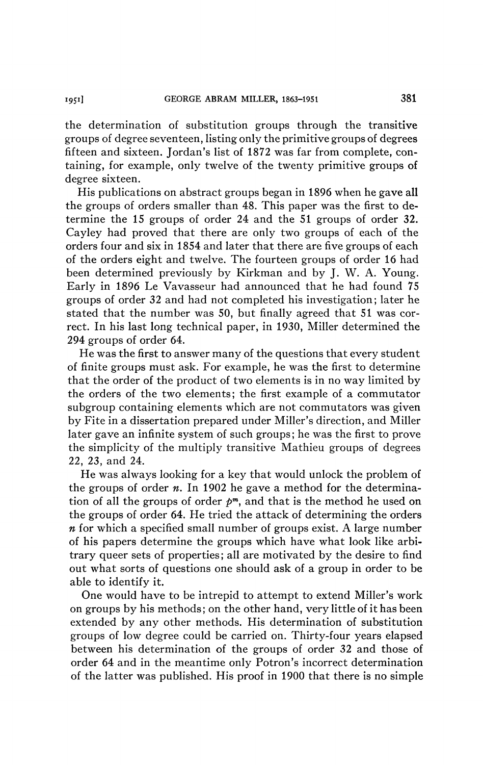the determination of substitution groups through the transitive groups of degree seventeen, listing only the primitive groups of degrees fifteen and sixteen. Jordan's list of 1872 was far from complete, containing, for example, only twelve of the twenty primitive groups of degree sixteen.

His publications on abstract groups began in 1896 when he gave all the groups of orders smaller than 48. This paper was the first to determine the 15 groups of order 24 and the 51 groups of order 32. Cayley had proved that there are only two groups of each of the orders four and six in 1854 and later that there are five groups of each of the orders eight and twelve. The fourteen groups of order 16 had been determined previously by Kirkman and by J. W. A. Young. Early in 1896 Le Vavasseur had announced that he had found 75 groups of order 32 and had not completed his investigation; later he stated that the number was 50, but finally agreed that 51 was correct. In his last long technical paper, in 1930, Miller determined the 294 groups of order 64.

He was the first to answer many of the questions that every student of finite groups must ask. For example, he was the first to determine that the order of the product of two elements is in no way limited by the orders of the two elements; the first example of a commutator subgroup containing elements which are not commutators was given by Fite in a dissertation prepared under Miller's direction, and Miller later gave an infinite system of such groups ; he was the first to prove the simplicity of the multiply transitive Mathieu groups of degrees 22, 23, and 24.

He was always looking for a key that would unlock the problem of the groups of order *n.* In 1902 he gave a method for the determination of all the groups of order  $p^m$ , and that is the method he used on the groups of order 64. He tried the attack of determining the orders *n* for which a specified small number of groups exist. A large number of his papers determine the groups which have what look like arbitrary queer sets of properties ; all are motivated by the desire to find out what sorts of questions one should ask of a group in order to be able to identify it.

One would have to be intrepid to attempt to extend Miller's work on groups by his methods; on the other hand, very little of it has been extended by any other methods. His determination of substitution groups of low degree could be carried on. Thirty-four years elapsed between his determination of the groups of order 32 and those of order 64 and in the meantime only Potron's incorrect determination of the latter was published. His proof in 1900 that there is no simple